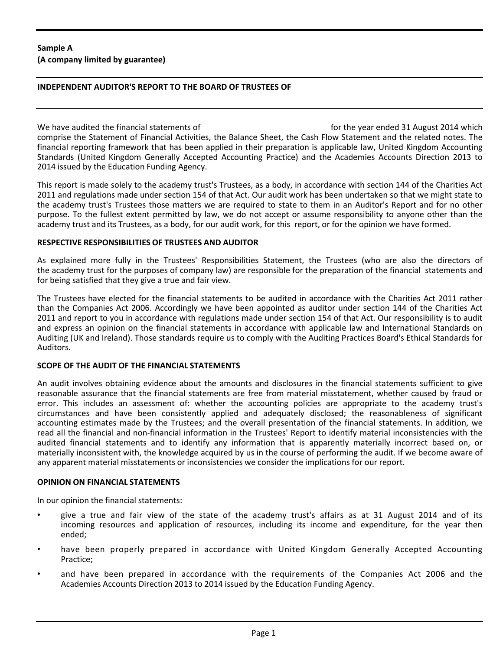### **INDEPENDENT AUDITOR'S REPORT TO THE BOARD OF TRUSTEES OF**

We have audited the financial statements of for the year ended 31 August 2014 which comprise the Statement of Financial Activities, the Balance Sheet, the Cash Flow Statement and the related notes. The financial reporting framework that has been applied in their preparation is applicable law, United Kingdom Accounting Standards (United Kingdom Generally Accepted Accounting Practice) and the Academies Accounts Direction 2013 to 2014 issued by the Education Funding Agency.

This report is made solely to the academy trust's Trustees, as a body, in accordance with section 144 of the Charities Act 2011 and regulations made under section 154 of that Act. Our audit work has been undertaken so that we might state to the academy trust's Trustees those matters we are required to state to them in an Auditor's Report and for no other purpose. To the fullest extent permitted by law, we do not accept or assume responsibility to anyone other than the academy trust and its Trustees, as a body, for our audit work, for this report, or for the opinion we have formed.

### **RESPECTIVE RESPONSIBILITIES OF TRUSTEES AND AUDITOR**

As explained more fully in the Trustees' Responsibilities Statement, the Trustees (who are also the directors of the academy trust for the purposes of company law) are responsible for the preparation of the financial statements and for being satisfied that they give a true and fair view.

The Trustees have elected for the financial statements to be audited in accordance with the Charities Act 2011 rather than the Companies Act 2006. Accordingly we have been appointed as auditor under section 144 of the Charities Act 2011 and report to you in accordance with regulations made under section 154 of that Act. Our responsibility is to audit and express an opinion on the financial statements in accordance with applicable law and International Standards on Auditing (UK and Ireland). Those standards require us to comply with the Auditing Practices Board's Ethical Standards for Auditors.

### **SCOPE OF THE AUDIT OF THE FINANCIAL STATEMENTS**

An audit involves obtaining evidence about the amounts and disclosures in the financial statements sufficient to give reasonable assurance that the financial statements are free from material misstatement, whether caused by fraud or error. This includes an assessment of: whether the accounting policies are appropriate to the academy trust's circumstances and have been consistently applied and adequately disclosed; the reasonableness of significant accounting estimates made by the Trustees; and the overall presentation of the financial statements. In addition, we read all the financial and non-financial information in the Trustees' Report to identify material inconsistencies with the audited financial statements and to identify any information that is apparently materially incorrect based on, or materially inconsistent with, the knowledge acquired by us in the course of performing the audit. If we become aware of any apparent material misstatements or inconsistencies we consider the implications for our report.

#### **OPINION ON FINANCIAL STATEMENTS**

In our opinion the financial statements:

- give a true and fair view of the state of the academy trust's affairs as at 31 August 2014 and of its incoming resources and application of resources, including its income and expenditure, for the year then ended;
- have been properly prepared in accordance with United Kingdom Generally Accepted Accounting Practice;
- and have been prepared in accordance with the requirements of the Companies Act 2006 and the Academies Accounts Direction 2013 to 2014 issued by the Education Funding Agency.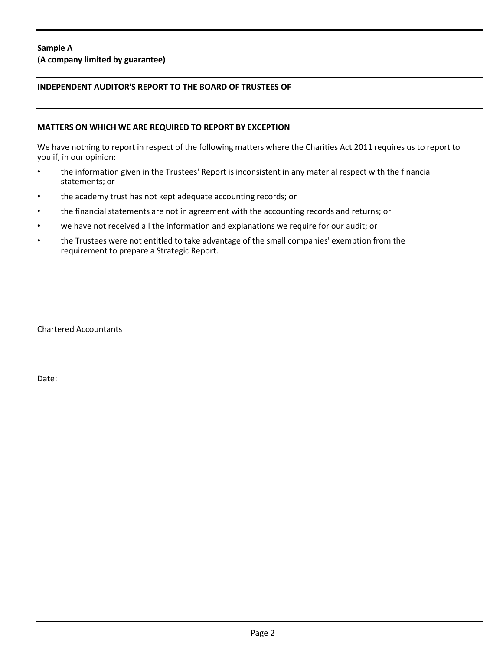**(A company limited by guarantee)**

### **INDEPENDENT AUDITOR'S REPORT TO THE BOARD OF TRUSTEES OF**

#### **MATTERS ON WHICH WE ARE REQUIRED TO REPORT BY EXCEPTION**

We have nothing to report in respect of the following matters where the Charities Act 2011 requires us to report to you if, in our opinion:

- the information given in the Trustees' Report is inconsistent in any material respect with the financial statements; or
- the academy trust has not kept adequate accounting records; or
- the financial statements are not in agreement with the accounting records and returns; or
- we have not received all the information and explanations we require for our audit; or
- the Trustees were not entitled to take advantage of the small companies' exemption from the requirement to prepare a Strategic Report.

Chartered Accountants

Date: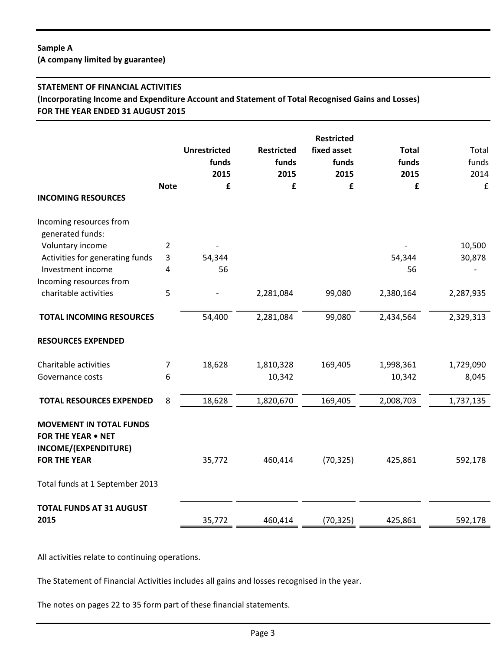**(A company limited by guarantee)**

### **STATEMENT OF FINANCIAL ACTIVITIES**

**(Incorporating Income and Expenditure Account and Statement of Total Recognised Gains and Losses) FOR THE YEAR ENDED 31 AUGUST 2015**

|                                                                                                            | <b>Note</b>    | <b>Unrestricted</b><br>funds<br>2015<br>£ | <b>Restricted</b><br>funds<br>2015<br>£ | <b>Restricted</b><br>fixed asset<br>funds<br>2015<br>£ | <b>Total</b><br>funds<br>2015<br>£ | Total<br>funds<br>2014<br>£ |
|------------------------------------------------------------------------------------------------------------|----------------|-------------------------------------------|-----------------------------------------|--------------------------------------------------------|------------------------------------|-----------------------------|
| <b>INCOMING RESOURCES</b>                                                                                  |                |                                           |                                         |                                                        |                                    |                             |
| Incoming resources from<br>generated funds:                                                                |                |                                           |                                         |                                                        |                                    |                             |
| Voluntary income                                                                                           | 2              |                                           |                                         |                                                        |                                    | 10,500                      |
| Activities for generating funds                                                                            | 3              | 54,344                                    |                                         |                                                        | 54,344                             | 30,878                      |
| Investment income                                                                                          | 4              | 56                                        |                                         |                                                        | 56                                 |                             |
| Incoming resources from                                                                                    |                |                                           |                                         |                                                        |                                    |                             |
| charitable activities                                                                                      | 5              |                                           | 2,281,084                               | 99,080                                                 | 2,380,164                          | 2,287,935                   |
| <b>TOTAL INCOMING RESOURCES</b>                                                                            |                | 54,400                                    | 2,281,084                               | 99,080                                                 | 2,434,564                          | 2,329,313                   |
| <b>RESOURCES EXPENDED</b>                                                                                  |                |                                           |                                         |                                                        |                                    |                             |
| Charitable activities                                                                                      | $\overline{7}$ | 18,628                                    | 1,810,328                               | 169,405                                                | 1,998,361                          | 1,729,090                   |
| Governance costs                                                                                           | 6              |                                           | 10,342                                  |                                                        | 10,342                             | 8,045                       |
| <b>TOTAL RESOURCES EXPENDED</b>                                                                            | 8              | 18,628                                    | 1,820,670                               | 169,405                                                | 2,008,703                          | 1,737,135                   |
| <b>MOVEMENT IN TOTAL FUNDS</b><br><b>FOR THE YEAR . NET</b><br>INCOME/(EXPENDITURE)<br><b>FOR THE YEAR</b> |                | 35,772                                    | 460,414                                 | (70, 325)                                              | 425,861                            | 592,178                     |
|                                                                                                            |                |                                           |                                         |                                                        |                                    |                             |
| Total funds at 1 September 2013                                                                            |                |                                           |                                         |                                                        |                                    |                             |
| <b>TOTAL FUNDS AT 31 AUGUST</b>                                                                            |                |                                           |                                         |                                                        |                                    |                             |
| 2015                                                                                                       |                | 35,772                                    | 460,414                                 | (70, 325)                                              | 425,861                            | 592,178                     |

All activities relate to continuing operations.

The Statement of Financial Activities includes all gains and losses recognised in the year.

The notes on pages 22 to 35 form part of these financial statements.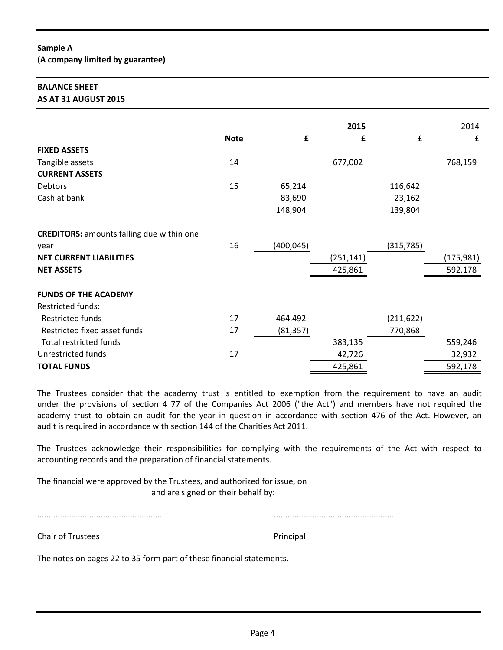### **BALANCE SHEET AS AT 31 AUGUST 2015**

|                                                  |             | £          | 2015       | £          | 2014       |
|--------------------------------------------------|-------------|------------|------------|------------|------------|
| <b>FIXED ASSETS</b>                              | <b>Note</b> |            | £          |            | £          |
|                                                  |             |            |            |            |            |
| Tangible assets                                  | 14          |            | 677,002    |            | 768,159    |
| <b>CURRENT ASSETS</b>                            |             |            |            |            |            |
| Debtors                                          | 15          | 65,214     |            | 116,642    |            |
| Cash at bank                                     |             | 83,690     |            | 23,162     |            |
|                                                  |             | 148,904    |            | 139,804    |            |
| <b>CREDITORS:</b> amounts falling due within one |             |            |            |            |            |
| year                                             | 16          | (400, 045) |            | (315, 785) |            |
| <b>NET CURRENT LIABILITIES</b>                   |             |            | (251, 141) |            | (175, 981) |
| <b>NET ASSETS</b>                                |             |            | 425,861    |            | 592,178    |
|                                                  |             |            |            |            |            |
| <b>FUNDS OF THE ACADEMY</b>                      |             |            |            |            |            |
| <b>Restricted funds:</b>                         |             |            |            |            |            |
| <b>Restricted funds</b>                          | 17          | 464,492    |            | (211, 622) |            |
| Restricted fixed asset funds                     | 17          | (81, 357)  |            | 770,868    |            |
| <b>Total restricted funds</b>                    |             |            | 383,135    |            | 559,246    |
| <b>Unrestricted funds</b>                        | 17          |            | 42,726     |            | 32,932     |
| <b>TOTAL FUNDS</b>                               |             |            | 425,861    |            | 592,178    |

The Trustees consider that the academy trust is entitled to exemption from the requirement to have an audit under the provisions of section 4 77 of the Companies Act 2006 ("the Act") and members have not required the academy trust to obtain an audit for the year in question in accordance with section 476 of the Act. However, an audit is required in accordance with section 144 of the Charities Act 2011.

The Trustees acknowledge their responsibilities for complying with the requirements of the Act with respect to accounting records and the preparation of financial statements.

The financial were approved by the Trustees, and authorized for issue, on and are signed on their behalf by:

....................................................... .....................................................

Chair of Trustees **Principal** 

The notes on pages 22 to 35 form part of these financial statements.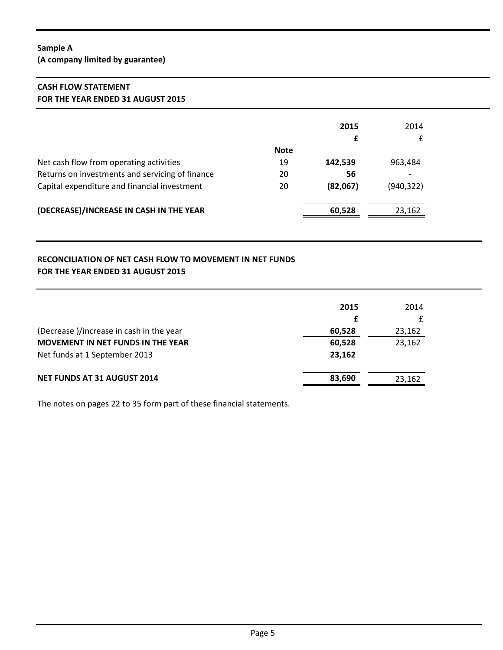**(A company limited by guarantee)**

# **CASH FLOW STATEMENT FOR THE YEAR ENDED 31 AUGUST 2015**

|                                                 |             | 2015     | 2014                     |
|-------------------------------------------------|-------------|----------|--------------------------|
|                                                 |             |          | £                        |
|                                                 | <b>Note</b> |          |                          |
| Net cash flow from operating activities         | 19          | 142,539  | 963,484                  |
| Returns on investments and servicing of finance | 20          | 56       | $\overline{\phantom{0}}$ |
| Capital expenditure and financial investment    | 20          | (82,067) | (940, 322)               |
| (DECREASE)/INCREASE IN CASH IN THE YEAR         |             | 60,528   | 23,162                   |

# **RECONCILIATION OF NET CASH FLOW TO MOVEMENT IN NET FUNDS FOR THE YEAR ENDED 31 AUGUST 2015**

|                                          | 2015   | 2014   |
|------------------------------------------|--------|--------|
|                                          | £      |        |
| (Decrease)/increase in cash in the year  | 60,528 | 23,162 |
| <b>MOVEMENT IN NET FUNDS IN THE YEAR</b> | 60,528 | 23,162 |
| Net funds at 1 September 2013            | 23,162 |        |
| <b>NET FUNDS AT 31 AUGUST 2014</b>       | 83,690 | 23,162 |

The notes on pages 22 to 35 form part of these financial statements.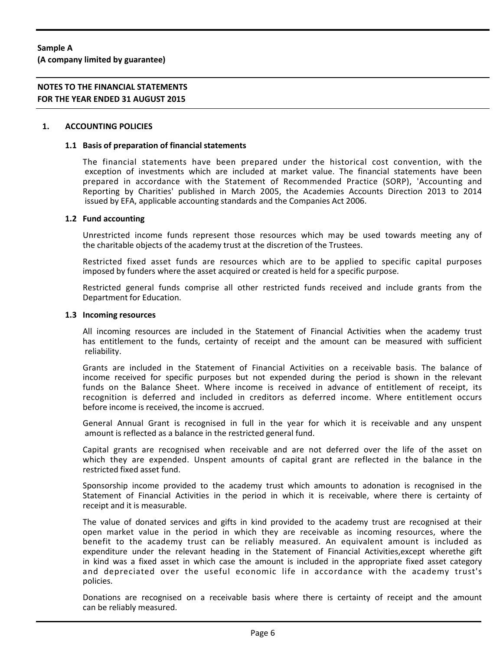**(A company limited by guarantee)**

# **NOTES TO THE FINANCIAL STATEMENTS FOR THE YEAR ENDED 31 AUGUST 2015**

#### **1. ACCOUNTING POLICIES**

#### **1.1 Basis of preparation of financial statements**

The financial statements have been prepared under the historical cost convention, with the exception of investments which are included at market value. The financial statements have been prepared in accordance with the Statement of Recommended Practice (SORP), 'Accounting and Reporting by Charities' published in March 2005, the Academies Accounts Direction 2013 to 2014 issued by EFA, applicable accounting standards and the Companies Act 2006.

#### **1.2 Fund accounting**

Unrestricted income funds represent those resources which may be used towards meeting any of the charitable objects of the academy trust at the discretion of the Trustees.

Restricted fixed asset funds are resources which are to be applied to specific capital purposes imposed by funders where the asset acquired or created is held for a specific purpose.

Restricted general funds comprise all other restricted funds received and include grants from the Department for Education.

#### **1.3 Incoming resources**

All incoming resources are included in the Statement of Financial Activities when the academy trust has entitlement to the funds, certainty of receipt and the amount can be measured with sufficient reliability.

Grants are included in the Statement of Financial Activities on a receivable basis. The balance of income received for specific purposes but not expended during the period is shown in the relevant funds on the Balance Sheet. Where income is received in advance of entitlement of receipt, its recognition is deferred and included in creditors as deferred income. Where entitlement occurs before income is received, the income is accrued.

General Annual Grant is recognised in full in the year for which it is receivable and any unspent amount is reflected as a balance in the restricted general fund.

Capital grants are recognised when receivable and are not deferred over the life of the asset on which they are expended. Unspent amounts of capital grant are reflected in the balance in the restricted fixed asset fund.

Sponsorship income provided to the academy trust which amounts to adonation is recognised in the Statement of Financial Activities in the period in which it is receivable, where there is certainty of receipt and it is measurable.

The value of donated services and gifts in kind provided to the academy trust are recognised at their open market value in the period in which they are receivable as incoming resources, where the benefit to the academy trust can be reliably measured. An equivalent amount is included as expenditure under the relevant heading in the Statement of Financial Activities,except wherethe gift in kind was a fixed asset in which case the amount is included in the appropriate fixed asset category and depreciated over the useful economic life in accordance with the academy trust's policies.

Donations are recognised on a receivable basis where there is certainty of receipt and the amount can be reliably measured.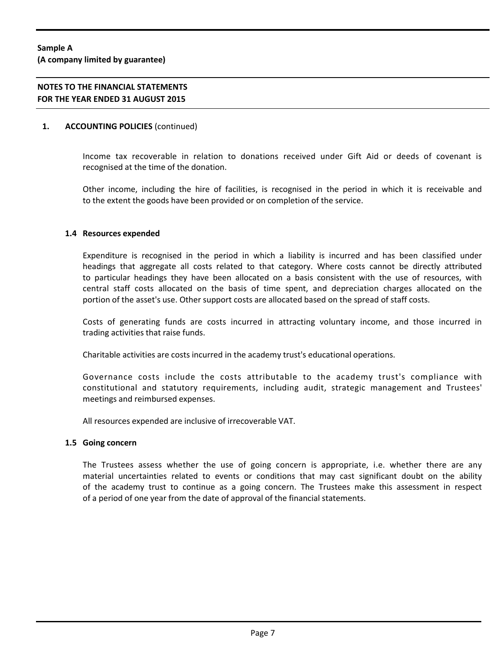### **1. ACCOUNTING POLICIES** (continued)

Income tax recoverable in relation to donations received under Gift Aid or deeds of covenant is recognised at the time of the donation.

Other income, including the hire of facilities, is recognised in the period in which it is receivable and to the extent the goods have been provided or on completion of the service.

#### **1.4 Resources expended**

Expenditure is recognised in the period in which a liability is incurred and has been classified under headings that aggregate all costs related to that category. Where costs cannot be directly attributed to particular headings they have been allocated on a basis consistent with the use of resources, with central staff costs allocated on the basis of time spent, and depreciation charges allocated on the portion of the asset's use. Other support costs are allocated based on the spread of staff costs.

Costs of generating funds are costs incurred in attracting voluntary income, and those incurred in trading activities that raise funds.

Charitable activities are costs incurred in the academy trust's educational operations.

Governance costs include the costs attributable to the academy trust's compliance with constitutional and statutory requirements, including audit, strategic management and Trustees' meetings and reimbursed expenses.

All resources expended are inclusive of irrecoverable VAT.

#### **1.5 Going concern**

The Trustees assess whether the use of going concern is appropriate, i.e. whether there are any material uncertainties related to events or conditions that may cast significant doubt on the ability of the academy trust to continue as a going concern. The Trustees make this assessment in respect of a period of one year from the date of approval of the financial statements.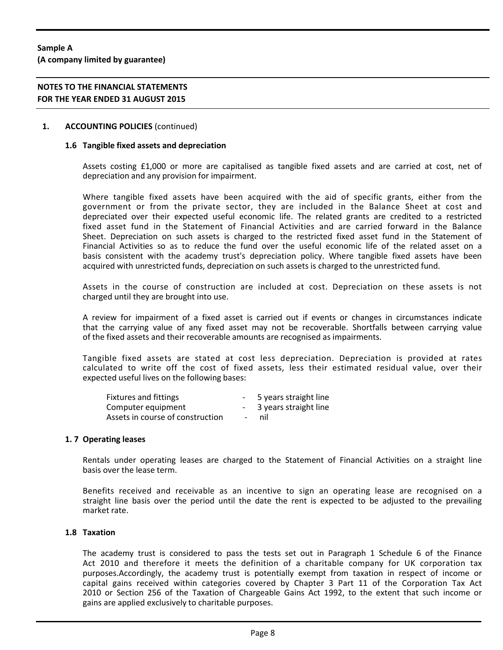**(A company limited by guarantee)**

# **NOTES TO THE FINANCIAL STATEMENTS FOR THE YEAR ENDED 31 AUGUST 2015**

#### **1. ACCOUNTING POLICIES** (continued)

#### **1.6 Tangible fixed assets and depreciation**

Assets costing £1,000 or more are capitalised as tangible fixed assets and are carried at cost, net of depreciation and any provision for impairment.

Where tangible fixed assets have been acquired with the aid of specific grants, either from the government or from the private sector, they are included in the Balance Sheet at cost and depreciated over their expected useful economic life. The related grants are credited to a restricted fixed asset fund in the Statement of Financial Activities and are carried forward in the Balance Sheet. Depreciation on such assets is charged to the restricted fixed asset fund in the Statement of Financial Activities so as to reduce the fund over the useful economic life of the related asset on a basis consistent with the academy trust's depreciation policy. Where tangible fixed assets have been acquired with unrestricted funds, depreciation on such assets is charged to the unrestricted fund.

Assets in the course of construction are included at cost. Depreciation on these assets is not charged until they are brought into use.

A review for impairment of a fixed asset is carried out if events or changes in circumstances indicate that the carrying value of any fixed asset may not be recoverable. Shortfalls between carrying value of the fixed assets and their recoverable amounts are recognised as impairments.

Tangible fixed assets are stated at cost less depreciation. Depreciation is provided at rates calculated to write off the cost of fixed assets, less their estimated residual value, over their expected useful lives on the following bases:

| Fixtures and fittings            |                          | 5 years straight line |
|----------------------------------|--------------------------|-----------------------|
| Computer equipment               |                          | 3 years straight line |
| Assets in course of construction | $\overline{\phantom{a}}$ | nil.                  |

#### **1. 7 Operating leases**

Rentals under operating leases are charged to the Statement of Financial Activities on a straight line basis over the lease term.

Benefits received and receivable as an incentive to sign an operating lease are recognised on a straight line basis over the period until the date the rent is expected to be adjusted to the prevailing market rate.

#### **1.8 Taxation**

The academy trust is considered to pass the tests set out in Paragraph 1 Schedule 6 of the Finance Act 2010 and therefore it meets the definition of a charitable company for UK corporation tax purposes.Accordingly, the academy trust is potentially exempt from taxation in respect of income or capital gains received within categories covered by Chapter 3 Part 11 of the Corporation Tax Act 2010 or Section 256 of the Taxation of Chargeable Gains Act 1992, to the extent that such income or gains are applied exclusively to charitable purposes.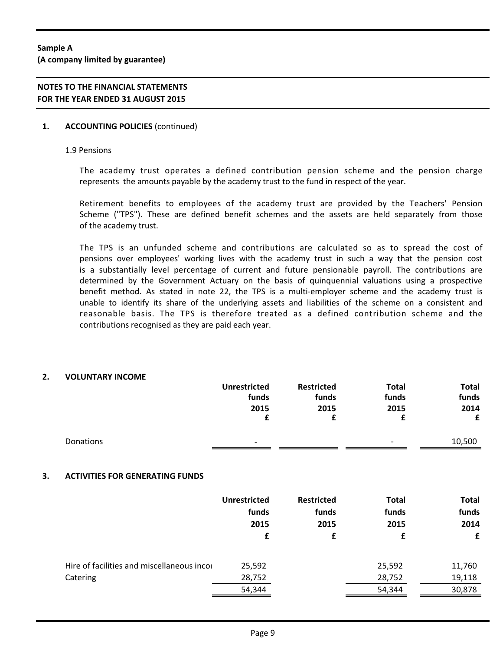# **NOTES TO THE FINANCIAL STATEMENTS FOR THE YEAR ENDED 31 AUGUST 2015**

### **1. ACCOUNTING POLICIES** (continued)

#### 1.9 Pensions

The academy trust operates a defined contribution pension scheme and the pension charge represents the amounts payable by the academy trust to the fund in respect of the year.

Retirement benefits to employees of the academy trust are provided by the Teachers' Pension Scheme ("TPS"). These are defined benefit schemes and the assets are held separately from those of the academy trust.

The TPS is an unfunded scheme and contributions are calculated so as to spread the cost of pensions over employees' working lives with the academy trust in such a way that the pension cost is a substantially level percentage of current and future pensionable payroll. The contributions are determined by the Government Actuary on the basis of quinquennial valuations using a prospective benefit method. As stated in note 22, the TPS is a multi-employer scheme and the academy trust is unable to identify its share of the underlying assets and liabilities of the scheme on a consistent and reasonable basis. The TPS is therefore treated as a defined contribution scheme and the contributions recognised as they are paid each year.

### **2. VOLUNTARY INCOME**

|    |                                                        | <b>Unrestricted</b><br>funds<br>2015<br>£ | <b>Restricted</b><br>funds<br>2015<br>£ | <b>Total</b><br>funds<br>2015<br>£ | <b>Total</b><br>funds<br>2014<br>£ |
|----|--------------------------------------------------------|-------------------------------------------|-----------------------------------------|------------------------------------|------------------------------------|
|    | Donations                                              |                                           |                                         |                                    | 10,500                             |
| 3. | <b>ACTIVITIES FOR GENERATING FUNDS</b>                 |                                           |                                         |                                    |                                    |
|    |                                                        | <b>Unrestricted</b><br>funds<br>2015      | <b>Restricted</b><br>funds<br>2015      | <b>Total</b><br>funds<br>2015      | <b>Total</b><br>funds<br>2014      |
|    |                                                        | £                                         | £                                       | £                                  | £                                  |
|    | Hire of facilities and miscellaneous incor<br>Catering | 25,592<br>28,752                          |                                         | 25,592<br>28,752                   | 11,760<br>19,118                   |
|    |                                                        | 54,344                                    |                                         | 54,344                             | 30,878                             |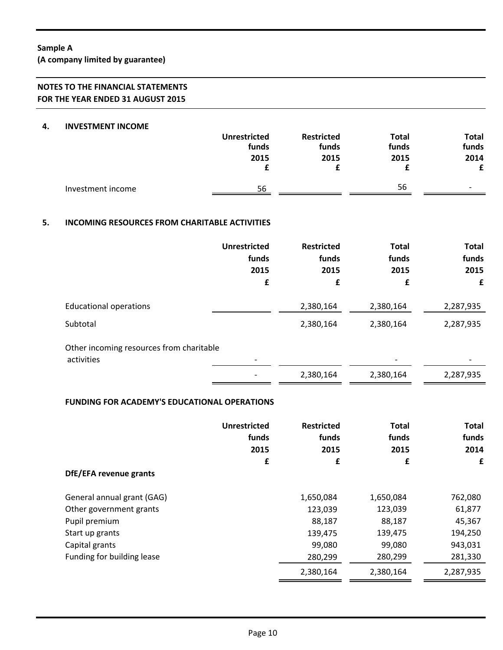**(A company limited by guarantee)**

# **NOTES TO THE FINANCIAL STATEMENTS FOR THE YEAR ENDED 31 AUGUST 2015**

#### **4. INVESTMENT INCOME**

|                   | <b>Unrestricted</b><br>funds | <b>Restricted</b><br>funds | <b>Total</b><br>funds | Total<br>funds |
|-------------------|------------------------------|----------------------------|-----------------------|----------------|
|                   | 2015                         | 2015                       | 2015                  | 2014<br>£      |
| Investment income | 56                           |                            | 56                    |                |

# **5. INCOMING RESOURCES FROM CHARITABLE ACTIVITIES**

|                                                        | Unrestricted<br>funds<br>2015<br>£ | <b>Restricted</b><br>funds<br>2015<br>£ | <b>Total</b><br>funds<br>2015<br>£ | <b>Total</b><br>funds<br>2015<br>£ |
|--------------------------------------------------------|------------------------------------|-----------------------------------------|------------------------------------|------------------------------------|
| <b>Educational operations</b>                          |                                    | 2,380,164                               | 2,380,164                          | 2,287,935                          |
| Subtotal                                               |                                    | 2,380,164                               | 2,380,164                          | 2,287,935                          |
| Other incoming resources from charitable<br>activities |                                    |                                         |                                    |                                    |
|                                                        |                                    | 2,380,164                               | 2,380,164                          | 2,287,935                          |

# **FUNDING FOR ACADEMY'S EDUCATIONAL OPERATIONS**

|                            | <b>Unrestricted</b><br>funds<br>2015<br>£ | <b>Restricted</b><br>funds<br>2015<br>£ | <b>Total</b><br>funds<br>2015<br>£ | <b>Total</b><br>funds<br>2014<br>£ |
|----------------------------|-------------------------------------------|-----------------------------------------|------------------------------------|------------------------------------|
| DfE/EFA revenue grants     |                                           |                                         |                                    |                                    |
| General annual grant (GAG) |                                           | 1,650,084                               | 1,650,084                          | 762,080                            |
| Other government grants    |                                           | 123,039                                 | 123,039                            | 61,877                             |
| Pupil premium              |                                           | 88,187                                  | 88,187                             | 45,367                             |
| Start up grants            |                                           | 139,475                                 | 139,475                            | 194,250                            |
| Capital grants             |                                           | 99,080                                  | 99,080                             | 943,031                            |
| Funding for building lease |                                           | 280,299                                 | 280,299                            | 281,330                            |
|                            |                                           | 2,380,164                               | 2,380,164                          | 2,287,935                          |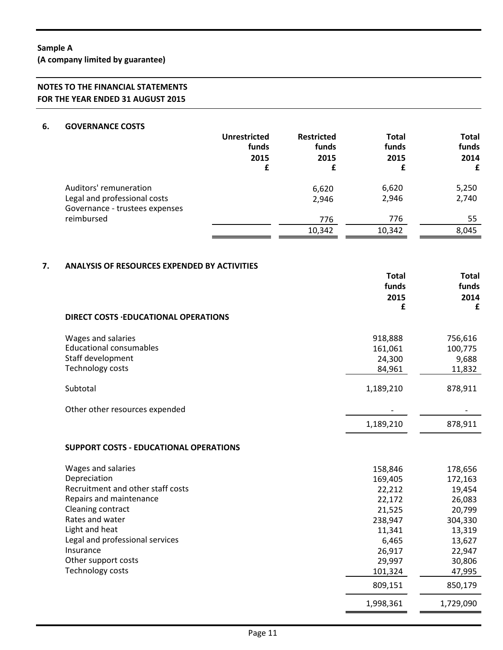**(A company limited by guarantee)**

# **NOTES TO THE FINANCIAL STATEMENTS FOR THE YEAR ENDED 31 AUGUST 2015**

#### **6. GOVERNANCE COSTS**

|    |                                                     | <b>Unrestricted</b><br>funds<br>2015<br>£ | <b>Restricted</b><br>funds<br>2015<br>£ | <b>Total</b><br>funds<br>2015<br>£ | Total<br>funds<br>2014<br>£ |
|----|-----------------------------------------------------|-------------------------------------------|-----------------------------------------|------------------------------------|-----------------------------|
|    | Auditors' remuneration                              |                                           | 6,620                                   | 6,620                              | 5,250                       |
|    | Legal and professional costs                        |                                           | 2,946                                   | 2,946                              | 2,740                       |
|    | Governance - trustees expenses                      |                                           |                                         |                                    |                             |
|    | reimbursed                                          |                                           | 776                                     | 776                                | 55                          |
|    |                                                     |                                           | 10,342                                  | 10,342                             | 8,045                       |
| 7. | <b>ANALYSIS OF RESOURCES EXPENDED BY ACTIVITIES</b> |                                           |                                         | <b>Total</b><br>funds<br>2015      | Total<br>funds<br>2014      |
|    |                                                     |                                           |                                         | £                                  | £                           |
|    | <b>DIRECT COSTS .EDUCATIONAL OPERATIONS</b>         |                                           |                                         |                                    |                             |

| Wages and salaries<br><b>Educational consumables</b><br>Staff development<br>Technology costs | 918,888<br>161,061<br>24,300<br>84,961 | 756,616<br>100,775<br>9,688<br>11,832 |
|-----------------------------------------------------------------------------------------------|----------------------------------------|---------------------------------------|
| Subtotal                                                                                      | 1,189,210                              | 878,911                               |
| Other other resources expended                                                                |                                        |                                       |
|                                                                                               | 1,189,210                              | 878.911                               |

### **SUPPORT COSTS - EDUCATIONAL OPERATIONS**

| Wages and salaries                | 158,846   | 178,656   |
|-----------------------------------|-----------|-----------|
| Depreciation                      | 169,405   | 172,163   |
| Recruitment and other staff costs | 22,212    | 19,454    |
| Repairs and maintenance           | 22,172    | 26,083    |
| Cleaning contract                 | 21,525    | 20,799    |
| Rates and water                   | 238,947   | 304,330   |
| Light and heat                    | 11,341    | 13,319    |
| Legal and professional services   | 6,465     | 13,627    |
| Insurance                         | 26,917    | 22,947    |
| Other support costs               | 29,997    | 30,806    |
| Technology costs                  | 101,324   | 47,995    |
|                                   | 809,151   | 850,179   |
|                                   | 1,998,361 | 1,729,090 |

Î.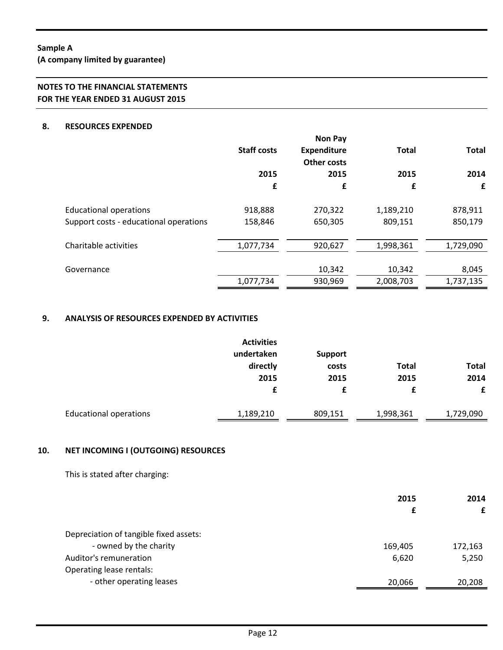**(A company limited by guarantee)**

# **NOTES TO THE FINANCIAL STATEMENTS FOR THE YEAR ENDED 31 AUGUST 2015**

### **8. RESOURCES EXPENDED**

|                                        | <b>Staff costs</b> | <b>Non Pay</b><br><b>Expenditure</b><br><b>Other costs</b> | <b>Total</b> | <b>Total</b> |
|----------------------------------------|--------------------|------------------------------------------------------------|--------------|--------------|
|                                        | 2015               | 2015                                                       | 2015         | 2014         |
|                                        | £                  | £                                                          | £            | £            |
| <b>Educational operations</b>          | 918,888            | 270,322                                                    | 1,189,210    | 878,911      |
| Support costs - educational operations | 158,846            | 650,305                                                    | 809,151      | 850,179      |
| Charitable activities                  | 1,077,734          | 920,627                                                    | 1,998,361    | 1,729,090    |
| Governance                             |                    | 10,342                                                     | 10,342       | 8,045        |
|                                        | 1,077,734          | 930,969                                                    | 2,008,703    | 1,737,135    |

### **9. ANALYSIS OF RESOURCES EXPENDED BY ACTIVITIES**

|                               | <b>Activities</b> |                |              |              |
|-------------------------------|-------------------|----------------|--------------|--------------|
|                               | undertaken        | <b>Support</b> |              |              |
|                               | directly          | costs          | <b>Total</b> | <b>Total</b> |
|                               | 2015              | 2015           | 2015         | 2014         |
|                               | £                 | £              | £            | £            |
| <b>Educational operations</b> | 1,189,210         | 809,151        | 1,998,361    | 1,729,090    |

## **10. NET INCOMING I (OUTGOING) RESOURCES**

This is stated after charging:

| 2015    | 2014    |
|---------|---------|
| £       | £       |
|         |         |
| 169,405 | 172,163 |
| 6,620   | 5,250   |
|         |         |
| 20,066  | 20,208  |
|         |         |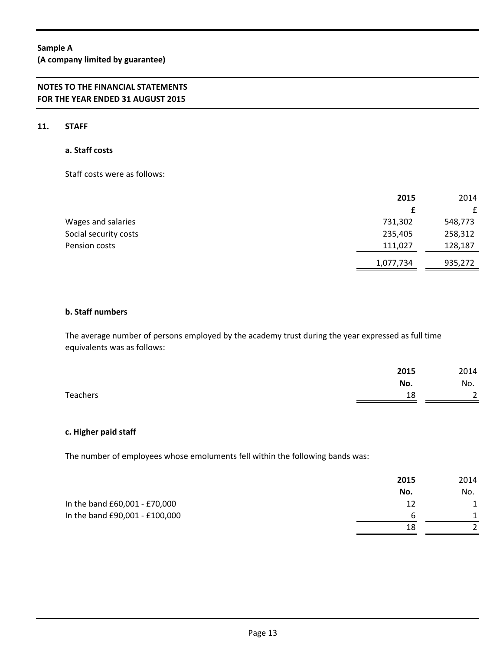**(A company limited by guarantee)**

# **NOTES TO THE FINANCIAL STATEMENTS FOR THE YEAR ENDED 31 AUGUST 2015**

### **11. STAFF**

### **a. Staff costs**

Staff costs were as follows:

|                       | 2015      | 2014         |
|-----------------------|-----------|--------------|
|                       |           | $\mathbf{f}$ |
| Wages and salaries    | 731,302   | 548,773      |
| Social security costs | 235,405   | 258,312      |
| Pension costs         | 111,027   | 128,187      |
|                       | 1,077,734 | 935,272      |

## **b. Staff numbers**

The average number of persons employed by the academy trust during the year expressed as full time equivalents was as follows:

|                 | 2015 | 2014                           |
|-----------------|------|--------------------------------|
|                 | No.  | No.                            |
| <b>Teachers</b> | 18   | $\mathbf{r}$<br>$\overline{ }$ |

#### **c. Higher paid staff**

The number of employees whose emoluments fell within the following bands was:

|                                | 2015 | 2014 |
|--------------------------------|------|------|
|                                | No.  | No.  |
| In the band £60,001 - £70,000  | 12   |      |
| In the band £90,001 - £100,000 |      |      |
|                                | 18   |      |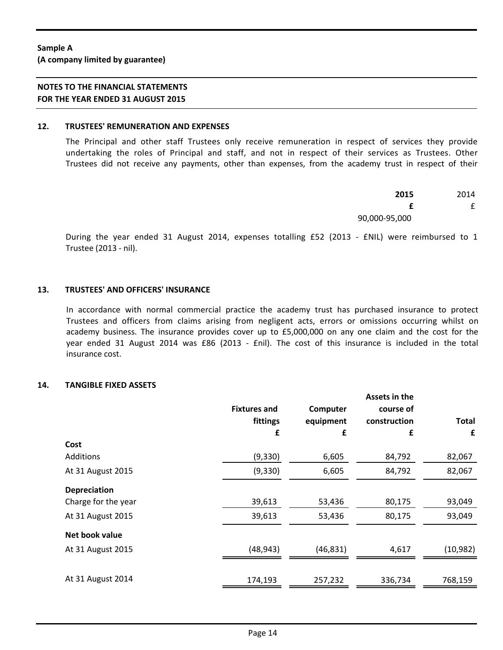**(A company limited by guarantee)**

#### **12. TRUSTEES' REMUNERATION AND EXPENSES**

The Principal and other staff Trustees only receive remuneration in respect of services they provide undertaking the roles of Principal and staff, and not in respect of their services as Trustees. Other Trustees did not receive any payments, other than expenses, from the academy trust in respect of their

| 2015          | 2014 |
|---------------|------|
| £             |      |
| 90,000-95,000 |      |

During the year ended 31 August 2014, expenses totalling £52 (2013 - £NIL) were reimbursed to 1 Trustee (2013 - nil).

### **13. TRUSTEES' AND OFFICERS' INSURANCE**

In accordance with normal commercial practice the academy trust has purchased insurance to protect Trustees and officers from claims arising from negligent acts, errors or omissions occurring whilst on academy business. The insurance provides cover up to £5,000,000 on any one claim and the cost for the year ended 31 August 2014 was £86 (2013 - £nil). The cost of this insurance is included in the total insurance cost.

### **14. TANGIBLE FIXED ASSETS**

|                     | <b>Fixtures and</b> | Computer  | Assets in the<br>course of |              |
|---------------------|---------------------|-----------|----------------------------|--------------|
|                     | fittings            | equipment | construction               | <b>Total</b> |
|                     | £                   | £         | £                          | £            |
| Cost                |                     |           |                            |              |
| Additions           | (9, 330)            | 6,605     | 84,792                     | 82,067       |
| At 31 August 2015   | (9, 330)            | 6,605     | 84,792                     | 82,067       |
| <b>Depreciation</b> |                     |           |                            |              |
| Charge for the year | 39,613              | 53,436    | 80,175                     | 93,049       |
| At 31 August 2015   | 39,613              | 53,436    | 80,175                     | 93,049       |
| Net book value      |                     |           |                            |              |
| At 31 August 2015   | (48, 943)           | (46, 831) | 4,617                      | (10, 982)    |
|                     |                     |           |                            |              |
| At 31 August 2014   | 174,193             | 257,232   | 336,734                    | 768,159      |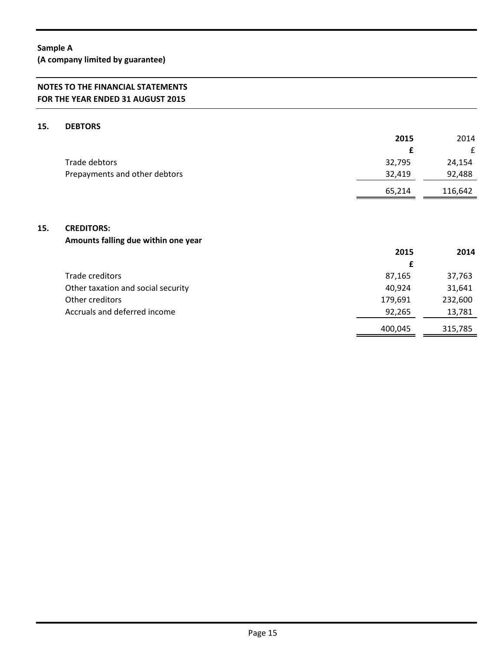**(A company limited by guarantee)**

# **NOTES TO THE FINANCIAL STATEMENTS FOR THE YEAR ENDED 31 AUGUST 2015**

### **15. DEBTORS**

|                               | 2015   | 2014    |
|-------------------------------|--------|---------|
|                               |        | £       |
| Trade debtors                 | 32,795 | 24,154  |
| Prepayments and other debtors | 32,419 | 92,488  |
|                               | 65,214 | 116,642 |

### **15. CREDITORS:**

# **Amounts falling due within one year**

|                                    | 2015    | 2014    |
|------------------------------------|---------|---------|
|                                    | £       |         |
| Trade creditors                    | 87,165  | 37,763  |
| Other taxation and social security | 40,924  | 31,641  |
| Other creditors                    | 179,691 | 232,600 |
| Accruals and deferred income       | 92,265  | 13,781  |
|                                    | 400,045 | 315,785 |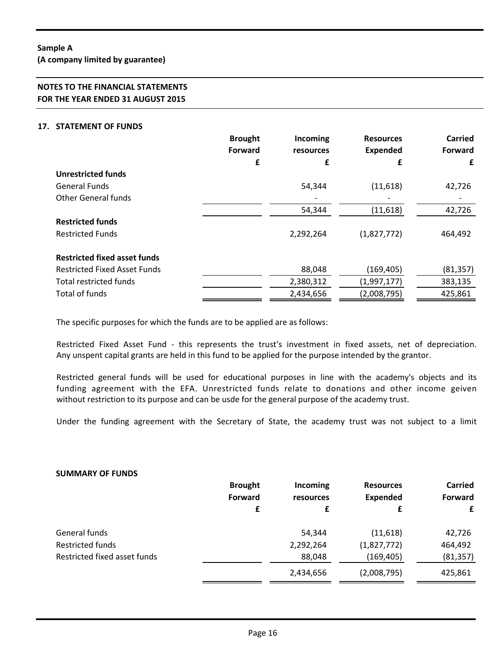**(A company limited by guarantee)**

# **NOTES TO THE FINANCIAL STATEMENTS FOR THE YEAR ENDED 31 AUGUST 2015**

### **17. STATEMENT OF FUNDS**

|                                     | <b>Brought</b> | Incoming  | <b>Resources</b> | <b>Carried</b> |
|-------------------------------------|----------------|-----------|------------------|----------------|
|                                     | <b>Forward</b> | resources | <b>Expended</b>  | Forward        |
|                                     | £              | £         | £                | £              |
| <b>Unrestricted funds</b>           |                |           |                  |                |
| <b>General Funds</b>                |                | 54,344    | (11,618)         | 42,726         |
| <b>Other General funds</b>          |                |           |                  |                |
|                                     |                | 54,344    | (11,618)         | 42,726         |
| <b>Restricted funds</b>             |                |           |                  |                |
| <b>Restricted Funds</b>             |                | 2,292,264 | (1,827,772)      | 464,492        |
| <b>Restricted fixed asset funds</b> |                |           |                  |                |
| <b>Restricted Fixed Asset Funds</b> |                | 88,048    | (169, 405)       | (81, 357)      |
| Total restricted funds              |                | 2,380,312 | (1,997,177)      | 383,135        |
| Total of funds                      |                | 2,434,656 | (2,008,795)      | 425,861        |

The specific purposes for which the funds are to be applied are as follows:

Restricted Fixed Asset Fund - this represents the trust's investment in fixed assets, net of depreciation. Any unspent capital grants are held in this fund to be applied for the purpose intended by the grantor.

Restricted general funds will be used for educational purposes in line with the academy's objects and its funding agreement with the EFA. Unrestricted funds relate to donations and other income geiven without restriction to its purpose and can be usde for the general purpose of the academy trust.

Under the funding agreement with the Secretary of State, the academy trust was not subject to a limit

#### **SUMMARY OF FUNDS**

|                              | <b>Brought</b><br><b>Forward</b><br>£ | Incoming<br>resources<br>£ | <b>Resources</b><br><b>Expended</b><br>£ | <b>Carried</b><br><b>Forward</b><br>£ |
|------------------------------|---------------------------------------|----------------------------|------------------------------------------|---------------------------------------|
| General funds                |                                       | 54,344                     | (11,618)                                 | 42,726                                |
| <b>Restricted funds</b>      |                                       | 2,292,264                  | (1,827,772)                              | 464,492                               |
| Restricted fixed asset funds |                                       | 88,048                     | (169, 405)                               | (81, 357)                             |
|                              |                                       | 2,434,656                  | (2,008,795)                              | 425,861                               |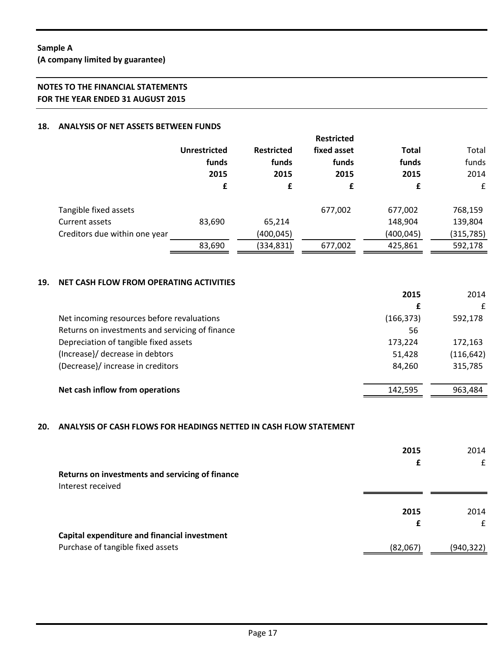**(A company limited by guarantee)**

# **NOTES TO THE FINANCIAL STATEMENTS FOR THE YEAR ENDED 31 AUGUST 2015**

## **18. ANALYSIS OF NET ASSETS BETWEEN FUNDS**

|                               | <b>Unrestricted</b> | <b>Restricted</b><br>funds<br>2015 | <b>Restricted</b><br>fixed asset<br>funds<br>2015 | Total<br>funds<br>2015 | Total<br>funds<br>2014 |
|-------------------------------|---------------------|------------------------------------|---------------------------------------------------|------------------------|------------------------|
|                               | funds<br>2015       |                                    |                                                   |                        |                        |
|                               | £                   | £                                  | £                                                 | £                      | £                      |
| Tangible fixed assets         |                     |                                    | 677,002                                           | 677,002                | 768,159                |
| Current assets                | 83,690              | 65,214                             |                                                   | 148,904                | 139,804                |
| Creditors due within one year |                     | (400,045)                          |                                                   | (400,045)              | (315, 785)             |
|                               | 83,690              | (334,831)                          | 677,002                                           | 425,861                | 592,178                |

### **19. NET CASH FLOW FROM OPERATING ACTIVITIES**

|                                                 | 2015       | 2014       |
|-------------------------------------------------|------------|------------|
|                                                 | £          | £          |
| Net incoming resources before revaluations      | (166, 373) | 592,178    |
| Returns on investments and servicing of finance | 56         |            |
| Depreciation of tangible fixed assets           | 173,224    | 172,163    |
| (Increase)/ decrease in debtors                 | 51,428     | (116, 642) |
| (Decrease}/ increase in creditors               | 84,260     | 315,785    |
|                                                 |            |            |
| Net cash inflow from operations                 | 142,595    | 963,484    |

# **20. ANALYSIS OF CASH FLOWS FOR HEADINGS NETTED IN CASH FLOW STATEMENT**

|                                                                      | 2015<br>£ | 2014<br>£  |
|----------------------------------------------------------------------|-----------|------------|
| Returns on investments and servicing of finance<br>Interest received |           |            |
|                                                                      | 2015      | 2014       |
|                                                                      | £         | £          |
| Capital expenditure and financial investment                         |           |            |
| Purchase of tangible fixed assets                                    | (82,067)  | (940, 322) |